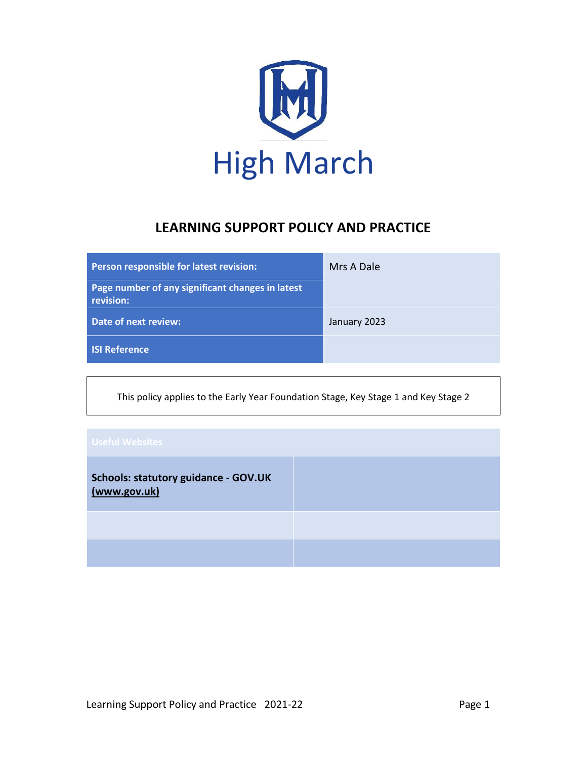

## **LEARNING SUPPORT POLICY AND PRACTICE**

| Person responsible for latest revision:                       | Mrs A Dale   |
|---------------------------------------------------------------|--------------|
| Page number of any significant changes in latest<br>revision: |              |
| Date of next review:                                          | January 2023 |
| <b>ISI Reference</b>                                          |              |

This policy applies to the Early Year Foundation Stage, Key Stage 1 and Key Stage 2

| <b>Schools: statutory guidance - GOV.UK</b><br>(www.gov.uk) |  |
|-------------------------------------------------------------|--|
|                                                             |  |
|                                                             |  |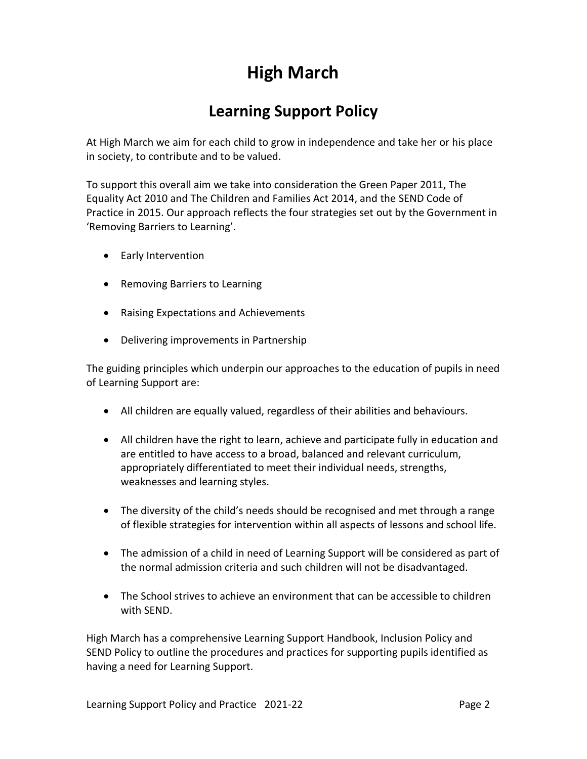# **High March**

# **Learning Support Policy**

At High March we aim for each child to grow in independence and take her or his place in society, to contribute and to be valued.

To support this overall aim we take into consideration the Green Paper 2011, The Equality Act 2010 and The Children and Families Act 2014, and the SEND Code of Practice in 2015. Our approach reflects the four strategies set out by the Government in 'Removing Barriers to Learning'.

- Early Intervention
- Removing Barriers to Learning
- Raising Expectations and Achievements
- Delivering improvements in Partnership

The guiding principles which underpin our approaches to the education of pupils in need of Learning Support are:

- All children are equally valued, regardless of their abilities and behaviours.
- All children have the right to learn, achieve and participate fully in education and are entitled to have access to a broad, balanced and relevant curriculum, appropriately differentiated to meet their individual needs, strengths, weaknesses and learning styles.
- The diversity of the child's needs should be recognised and met through a range of flexible strategies for intervention within all aspects of lessons and school life.
- The admission of a child in need of Learning Support will be considered as part of the normal admission criteria and such children will not be disadvantaged.
- The School strives to achieve an environment that can be accessible to children with SEND.

High March has a comprehensive Learning Support Handbook, Inclusion Policy and SEND Policy to outline the procedures and practices for supporting pupils identified as having a need for Learning Support.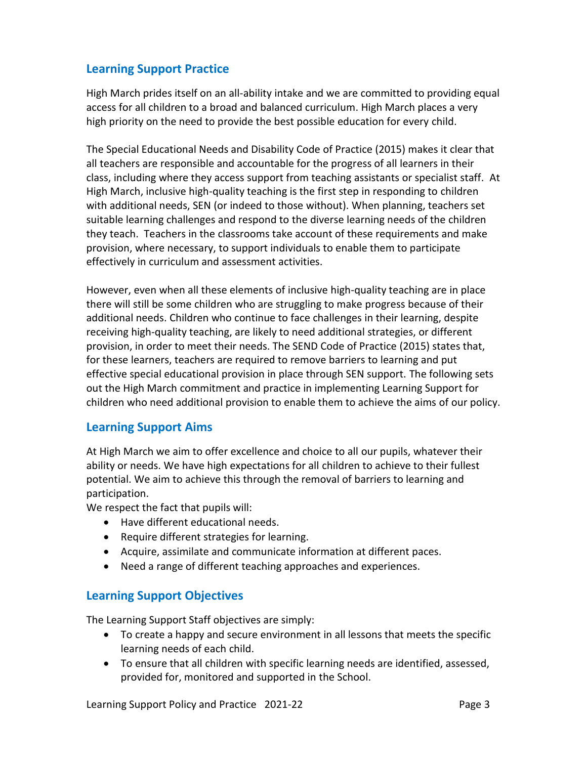#### **Learning Support Practice**

High March prides itself on an all-ability intake and we are committed to providing equal access for all children to a broad and balanced curriculum. High March places a very high priority on the need to provide the best possible education for every child.

The Special Educational Needs and Disability Code of Practice (2015) makes it clear that all teachers are responsible and accountable for the progress of all learners in their class, including where they access support from teaching assistants or specialist staff. At High March, inclusive high-quality teaching is the first step in responding to children with additional needs, SEN (or indeed to those without). When planning, teachers set suitable learning challenges and respond to the diverse learning needs of the children they teach. Teachers in the classrooms take account of these requirements and make provision, where necessary, to support individuals to enable them to participate effectively in curriculum and assessment activities.

However, even when all these elements of inclusive high-quality teaching are in place there will still be some children who are struggling to make progress because of their additional needs. Children who continue to face challenges in their learning, despite receiving high-quality teaching, are likely to need additional strategies, or different provision, in order to meet their needs. The SEND Code of Practice (2015) states that, for these learners, teachers are required to remove barriers to learning and put effective special educational provision in place through SEN support. The following sets out the High March commitment and practice in implementing Learning Support for children who need additional provision to enable them to achieve the aims of our policy.

#### **Learning Support Aims**

At High March we aim to offer excellence and choice to all our pupils, whatever their ability or needs. We have high expectations for all children to achieve to their fullest potential. We aim to achieve this through the removal of barriers to learning and participation.

We respect the fact that pupils will:

- Have different educational needs.
- Require different strategies for learning.
- Acquire, assimilate and communicate information at different paces.
- Need a range of different teaching approaches and experiences.

#### **Learning Support Objectives**

The Learning Support Staff objectives are simply:

- To create a happy and secure environment in all lessons that meets the specific learning needs of each child.
- To ensure that all children with specific learning needs are identified, assessed, provided for, monitored and supported in the School.

Learning Support Policy and Practice 2021-22 **Page 3** Page 3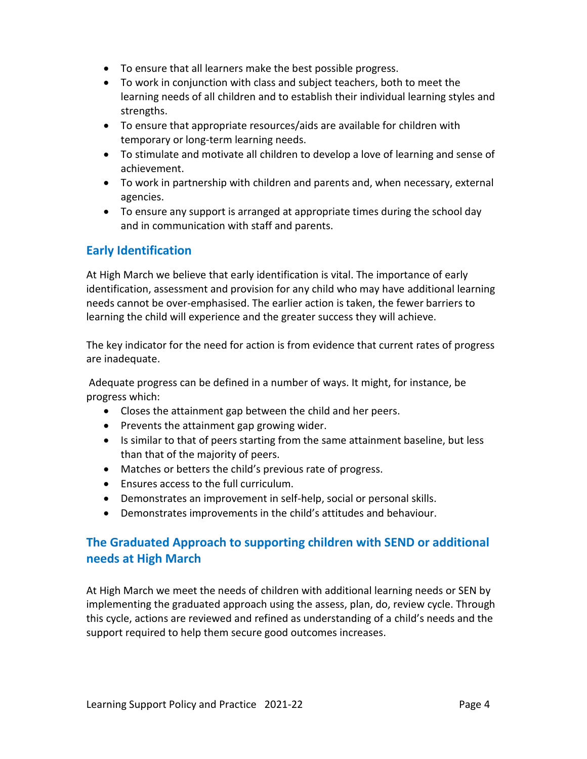- To ensure that all learners make the best possible progress.
- To work in conjunction with class and subject teachers, both to meet the learning needs of all children and to establish their individual learning styles and strengths.
- To ensure that appropriate resources/aids are available for children with temporary or long-term learning needs.
- To stimulate and motivate all children to develop a love of learning and sense of achievement.
- To work in partnership with children and parents and, when necessary, external agencies.
- To ensure any support is arranged at appropriate times during the school day and in communication with staff and parents.

#### **Early Identification**

At High March we believe that early identification is vital. The importance of early identification, assessment and provision for any child who may have additional learning needs cannot be over-emphasised. The earlier action is taken, the fewer barriers to learning the child will experience and the greater success they will achieve.

The key indicator for the need for action is from evidence that current rates of progress are inadequate.

Adequate progress can be defined in a number of ways. It might, for instance, be progress which:

- Closes the attainment gap between the child and her peers.
- Prevents the attainment gap growing wider.
- Is similar to that of peers starting from the same attainment baseline, but less than that of the majority of peers.
- Matches or betters the child's previous rate of progress.
- Ensures access to the full curriculum.
- Demonstrates an improvement in self-help, social or personal skills.
- Demonstrates improvements in the child's attitudes and behaviour.

### **The Graduated Approach to supporting children with SEND or additional needs at High March**

At High March we meet the needs of children with additional learning needs or SEN by implementing the graduated approach using the assess, plan, do, review cycle. Through this cycle, actions are reviewed and refined as understanding of a child's needs and the support required to help them secure good outcomes increases.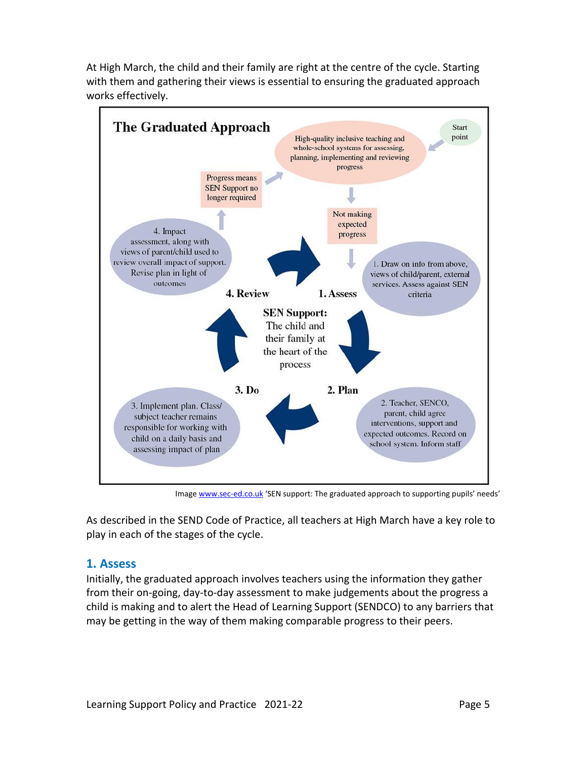At High March, the child and their family are right at the centre of the cycle. Starting with them and gathering their views is essential to ensuring the graduated approach works effectively.



Imag[e www.sec-ed.co.uk](http://www.sec-ed.co.uk/) 'SEN support: The graduated approach to supporting pupils' needs'

As described in the SEND Code of Practice, all teachers at High March have a key role to play in each of the stages of the cycle.

#### **1. Assess**

Initially, the graduated approach involves teachers using the information they gather from their on-going, day-to-day assessment to make judgements about the progress a child is making and to alert the Head of Learning Support (SENDCO) to any barriers that may be getting in the way of them making comparable progress to their peers.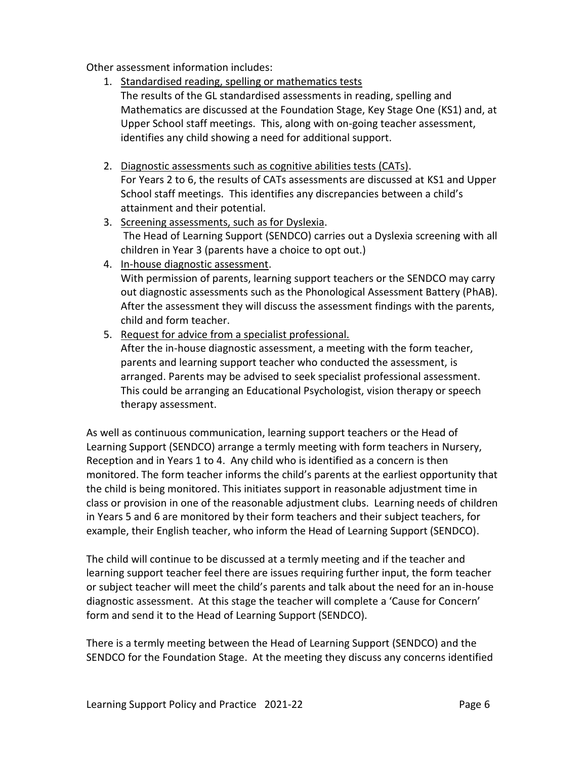Other assessment information includes:

- 1. Standardised reading, spelling or mathematics tests The results of the GL standardised assessments in reading, spelling and Mathematics are discussed at the Foundation Stage, Key Stage One (KS1) and, at Upper School staff meetings. This, along with on-going teacher assessment, identifies any child showing a need for additional support.
- 2. Diagnostic assessments such as cognitive abilities tests (CATs). For Years 2 to 6, the results of CATs assessments are discussed at KS1 and Upper School staff meetings. This identifies any discrepancies between a child's attainment and their potential.
- 3. Screening assessments, such as for Dyslexia. The Head of Learning Support (SENDCO) carries out a Dyslexia screening with all children in Year 3 (parents have a choice to opt out.)
- 4. In-house diagnostic assessment. With permission of parents, learning support teachers or the SENDCO may carry out diagnostic assessments such as the Phonological Assessment Battery (PhAB). After the assessment they will discuss the assessment findings with the parents, child and form teacher.
- 5. Request for advice from a specialist professional.

After the in-house diagnostic assessment, a meeting with the form teacher, parents and learning support teacher who conducted the assessment, is arranged. Parents may be advised to seek specialist professional assessment. This could be arranging an Educational Psychologist, vision therapy or speech therapy assessment.

As well as continuous communication, learning support teachers or the Head of Learning Support (SENDCO) arrange a termly meeting with form teachers in Nursery, Reception and in Years 1 to 4. Any child who is identified as a concern is then monitored. The form teacher informs the child's parents at the earliest opportunity that the child is being monitored. This initiates support in reasonable adjustment time in class or provision in one of the reasonable adjustment clubs. Learning needs of children in Years 5 and 6 are monitored by their form teachers and their subject teachers, for example, their English teacher, who inform the Head of Learning Support (SENDCO).

The child will continue to be discussed at a termly meeting and if the teacher and learning support teacher feel there are issues requiring further input, the form teacher or subject teacher will meet the child's parents and talk about the need for an in-house diagnostic assessment. At this stage the teacher will complete a 'Cause for Concern' form and send it to the Head of Learning Support (SENDCO).

There is a termly meeting between the Head of Learning Support (SENDCO) and the SENDCO for the Foundation Stage. At the meeting they discuss any concerns identified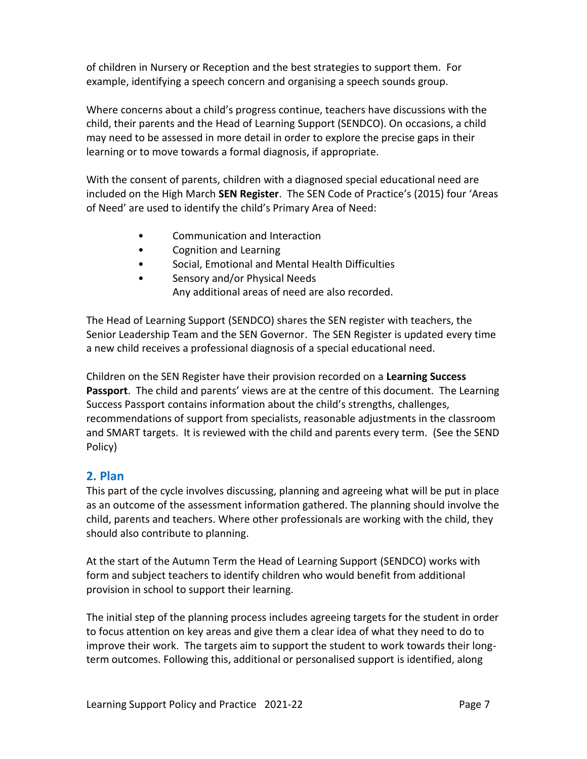of children in Nursery or Reception and the best strategies to support them. For example, identifying a speech concern and organising a speech sounds group.

Where concerns about a child's progress continue, teachers have discussions with the child, their parents and the Head of Learning Support (SENDCO). On occasions, a child may need to be assessed in more detail in order to explore the precise gaps in their learning or to move towards a formal diagnosis, if appropriate.

With the consent of parents, children with a diagnosed special educational need are included on the High March **SEN Register**. The SEN Code of Practice's (2015) four 'Areas of Need' are used to identify the child's Primary Area of Need:

- Communication and Interaction
- Cognition and Learning
- Social, Emotional and Mental Health Difficulties
- Sensory and/or Physical Needs Any additional areas of need are also recorded.

The Head of Learning Support (SENDCO) shares the SEN register with teachers, the Senior Leadership Team and the SEN Governor. The SEN Register is updated every time a new child receives a professional diagnosis of a special educational need.

Children on the SEN Register have their provision recorded on a **Learning Success Passport**. The child and parents' views are at the centre of this document. The Learning Success Passport contains information about the child's strengths, challenges, recommendations of support from specialists, reasonable adjustments in the classroom and SMART targets. It is reviewed with the child and parents every term. (See the SEND Policy)

#### **2. Plan**

This part of the cycle involves discussing, planning and agreeing what will be put in place as an outcome of the assessment information gathered. The planning should involve the child, parents and teachers. Where other professionals are working with the child, they should also contribute to planning.

At the start of the Autumn Term the Head of Learning Support (SENDCO) works with form and subject teachers to identify children who would benefit from additional provision in school to support their learning.

The initial step of the planning process includes agreeing targets for the student in order to focus attention on key areas and give them a clear idea of what they need to do to improve their work. The targets aim to support the student to work towards their longterm outcomes. Following this, additional or personalised support is identified, along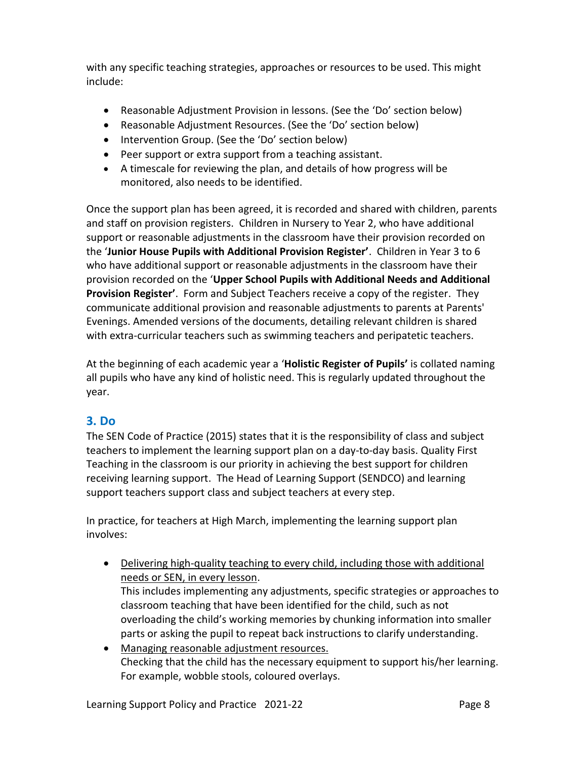with any specific teaching strategies, approaches or resources to be used. This might include:

- Reasonable Adjustment Provision in lessons. (See the 'Do' section below)
- Reasonable Adjustment Resources. (See the 'Do' section below)
- Intervention Group. (See the 'Do' section below)
- Peer support or extra support from a teaching assistant.
- A timescale for reviewing the plan, and details of how progress will be monitored, also needs to be identified.

Once the support plan has been agreed, it is recorded and shared with children, parents and staff on provision registers. Children in Nursery to Year 2, who have additional support or reasonable adjustments in the classroom have their provision recorded on the '**Junior House Pupils with Additional Provision Register'**. Children in Year 3 to 6 who have additional support or reasonable adjustments in the classroom have their provision recorded on the '**Upper School Pupils with Additional Needs and Additional Provision Register'**. Form and Subject Teachers receive a copy of the register. They communicate additional provision and reasonable adjustments to parents at Parents' Evenings. Amended versions of the documents, detailing relevant children is shared with extra-curricular teachers such as swimming teachers and peripatetic teachers.

At the beginning of each academic year a '**Holistic Register of Pupils'** is collated naming all pupils who have any kind of holistic need. This is regularly updated throughout the year.

#### **3. Do**

The SEN Code of Practice (2015) states that it is the responsibility of class and subject teachers to implement the learning support plan on a day-to-day basis. Quality First Teaching in the classroom is our priority in achieving the best support for children receiving learning support. The Head of Learning Support (SENDCO) and learning support teachers support class and subject teachers at every step.

In practice, for teachers at High March, implementing the learning support plan involves:

- Delivering high-quality teaching to every child, including those with additional needs or SEN, in every lesson. This includes implementing any adjustments, specific strategies or approaches to classroom teaching that have been identified for the child, such as not overloading the child's working memories by chunking information into smaller
- Managing reasonable adjustment resources. Checking that the child has the necessary equipment to support his/her learning. For example, wobble stools, coloured overlays.

parts or asking the pupil to repeat back instructions to clarify understanding.

Learning Support Policy and Practice 2021-22 **Page 8** Page 8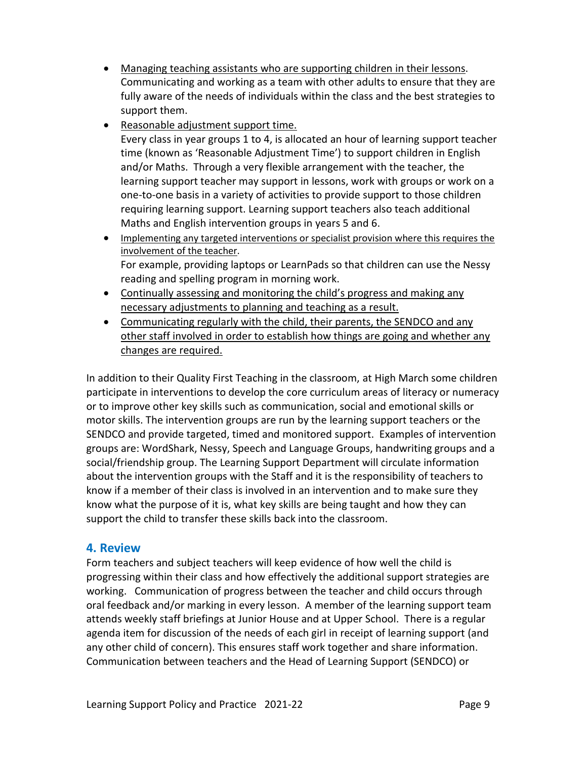- Managing teaching assistants who are supporting children in their lessons. Communicating and working as a team with other adults to ensure that they are fully aware of the needs of individuals within the class and the best strategies to support them.
- Reasonable adjustment support time.

Every class in year groups 1 to 4, is allocated an hour of learning support teacher time (known as 'Reasonable Adjustment Time') to support children in English and/or Maths. Through a very flexible arrangement with the teacher, the learning support teacher may support in lessons, work with groups or work on a one-to-one basis in a variety of activities to provide support to those children requiring learning support. Learning support teachers also teach additional Maths and English intervention groups in years 5 and 6.

- Implementing any targeted interventions or specialist provision where this requires the involvement of the teacher. For example, providing laptops or LearnPads so that children can use the Nessy reading and spelling program in morning work.
- Continually assessing and monitoring the child's progress and making any necessary adjustments to planning and teaching as a result.
- Communicating regularly with the child, their parents, the SENDCO and any other staff involved in order to establish how things are going and whether any changes are required.

In addition to their Quality First Teaching in the classroom, at High March some children participate in interventions to develop the core curriculum areas of literacy or numeracy or to improve other key skills such as communication, social and emotional skills or motor skills. The intervention groups are run by the learning support teachers or the SENDCO and provide targeted, timed and monitored support. Examples of intervention groups are: WordShark, Nessy, Speech and Language Groups, handwriting groups and a social/friendship group. The Learning Support Department will circulate information about the intervention groups with the Staff and it is the responsibility of teachers to know if a member of their class is involved in an intervention and to make sure they know what the purpose of it is, what key skills are being taught and how they can support the child to transfer these skills back into the classroom.

#### **4. Review**

Form teachers and subject teachers will keep evidence of how well the child is progressing within their class and how effectively the additional support strategies are working. Communication of progress between the teacher and child occurs through oral feedback and/or marking in every lesson. A member of the learning support team attends weekly staff briefings at Junior House and at Upper School. There is a regular agenda item for discussion of the needs of each girl in receipt of learning support (and any other child of concern). This ensures staff work together and share information. Communication between teachers and the Head of Learning Support (SENDCO) or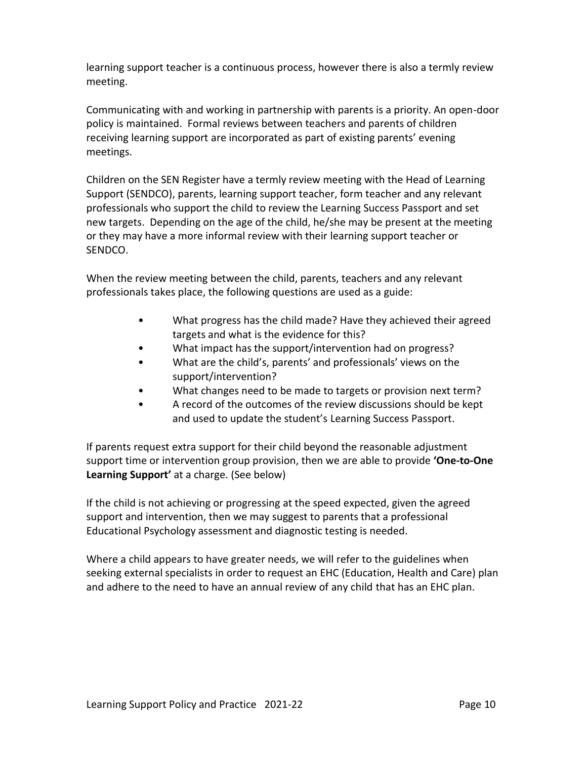learning support teacher is a continuous process, however there is also a termly review meeting.

Communicating with and working in partnership with parents is a priority. An open-door policy is maintained. Formal reviews between teachers and parents of children receiving learning support are incorporated as part of existing parents' evening meetings.

Children on the SEN Register have a termly review meeting with the Head of Learning Support (SENDCO), parents, learning support teacher, form teacher and any relevant professionals who support the child to review the Learning Success Passport and set new targets. Depending on the age of the child, he/she may be present at the meeting or they may have a more informal review with their learning support teacher or SENDCO.

When the review meeting between the child, parents, teachers and any relevant professionals takes place, the following questions are used as a guide:

- What progress has the child made? Have they achieved their agreed targets and what is the evidence for this?
- What impact has the support/intervention had on progress?
- What are the child's, parents' and professionals' views on the support/intervention?
- What changes need to be made to targets or provision next term?
- A record of the outcomes of the review discussions should be kept and used to update the student's Learning Success Passport.

If parents request extra support for their child beyond the reasonable adjustment support time or intervention group provision, then we are able to provide **'One-to-One Learning Support'** at a charge. (See below)

If the child is not achieving or progressing at the speed expected, given the agreed support and intervention, then we may suggest to parents that a professional Educational Psychology assessment and diagnostic testing is needed.

Where a child appears to have greater needs, we will refer to the guidelines when seeking external specialists in order to request an EHC (Education, Health and Care) plan and adhere to the need to have an annual review of any child that has an EHC plan.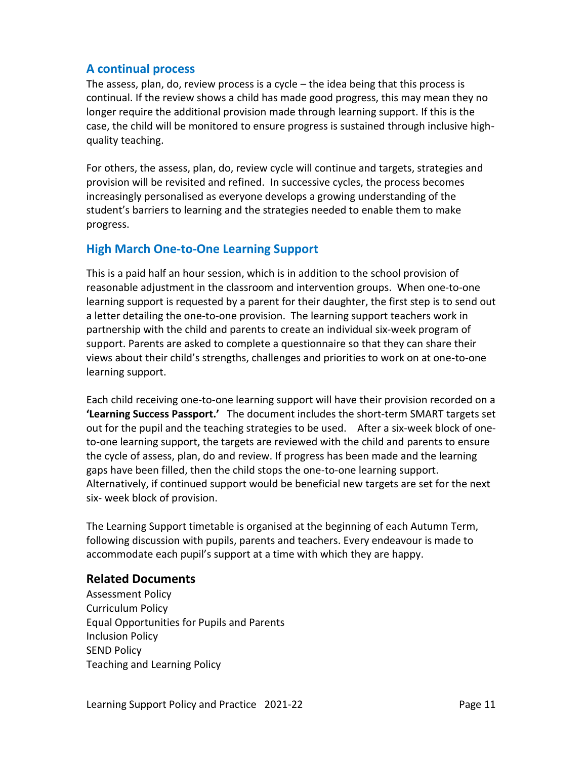#### **A continual process**

The assess, plan, do, review process is a cycle – the idea being that this process is continual. If the review shows a child has made good progress, this may mean they no longer require the additional provision made through learning support. If this is the case, the child will be monitored to ensure progress is sustained through inclusive highquality teaching.

For others, the assess, plan, do, review cycle will continue and targets, strategies and provision will be revisited and refined. In successive cycles, the process becomes increasingly personalised as everyone develops a growing understanding of the student's barriers to learning and the strategies needed to enable them to make progress.

#### **High March One-to-One Learning Support**

This is a paid half an hour session, which is in addition to the school provision of reasonable adjustment in the classroom and intervention groups. When one-to-one learning support is requested by a parent for their daughter, the first step is to send out a letter detailing the one-to-one provision. The learning support teachers work in partnership with the child and parents to create an individual six-week program of support. Parents are asked to complete a questionnaire so that they can share their views about their child's strengths, challenges and priorities to work on at one-to-one learning support.

Each child receiving one-to-one learning support will have their provision recorded on a **'Learning Success Passport.'** The document includes the short-term SMART targets set out for the pupil and the teaching strategies to be used. After a six-week block of oneto-one learning support, the targets are reviewed with the child and parents to ensure the cycle of assess, plan, do and review. If progress has been made and the learning gaps have been filled, then the child stops the one-to-one learning support. Alternatively, if continued support would be beneficial new targets are set for the next six- week block of provision.

The Learning Support timetable is organised at the beginning of each Autumn Term, following discussion with pupils, parents and teachers. Every endeavour is made to accommodate each pupil's support at a time with which they are happy.

#### **Related Documents**

Assessment Policy Curriculum Policy Equal Opportunities for Pupils and Parents Inclusion Policy SEND Policy Teaching and Learning Policy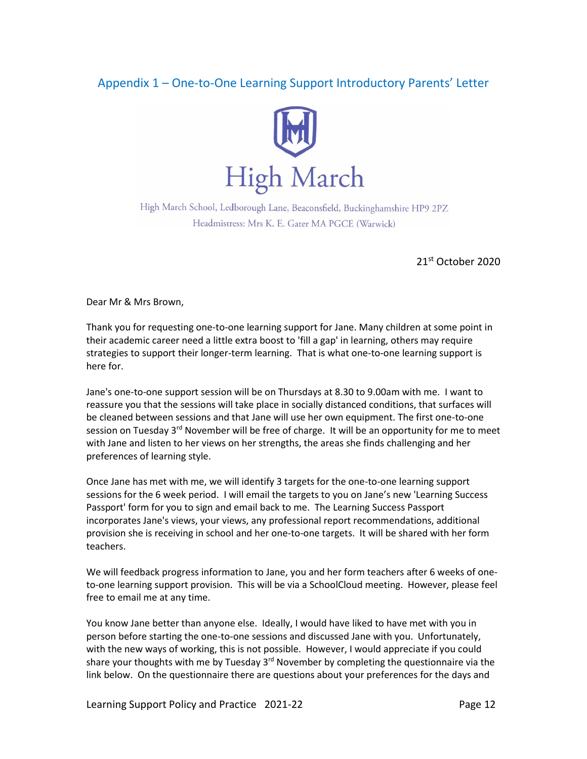### Appendix 1 – One-to-One Learning Support Introductory Parents' Letter



High March School, Ledborough Lane, Beaconsfield, Buckinghamshire HP9 2PZ Headmistress: Mrs K. E. Gater MA PGCE (Warwick)

21st October 2020

Dear Mr & Mrs Brown,

Thank you for requesting one-to-one learning support for Jane. Many children at some point in their academic career need a little extra boost to 'fill a gap' in learning, others may require strategies to support their longer-term learning. That is what one-to-one learning support is here for.

Jane's one-to-one support session will be on Thursdays at 8.30 to 9.00am with me. I want to reassure you that the sessions will take place in socially distanced conditions, that surfaces will be cleaned between sessions and that Jane will use her own equipment. The first one-to-one session on Tuesday 3<sup>rd</sup> November will be free of charge. It will be an opportunity for me to meet with Jane and listen to her views on her strengths, the areas she finds challenging and her preferences of learning style.

Once Jane has met with me, we will identify 3 targets for the one-to-one learning support sessions for the 6 week period. I will email the targets to you on Jane's new 'Learning Success Passport' form for you to sign and email back to me. The Learning Success Passport incorporates Jane's views, your views, any professional report recommendations, additional provision she is receiving in school and her one-to-one targets. It will be shared with her form teachers.

We will feedback progress information to Jane, you and her form teachers after 6 weeks of oneto-one learning support provision. This will be via a SchoolCloud meeting. However, please feel free to email me at any time.

You know Jane better than anyone else. Ideally, I would have liked to have met with you in person before starting the one-to-one sessions and discussed Jane with you. Unfortunately, with the new ways of working, this is not possible. However, I would appreciate if you could share your thoughts with me by Tuesday 3<sup>rd</sup> November by completing the questionnaire via the link below. On the questionnaire there are questions about your preferences for the days and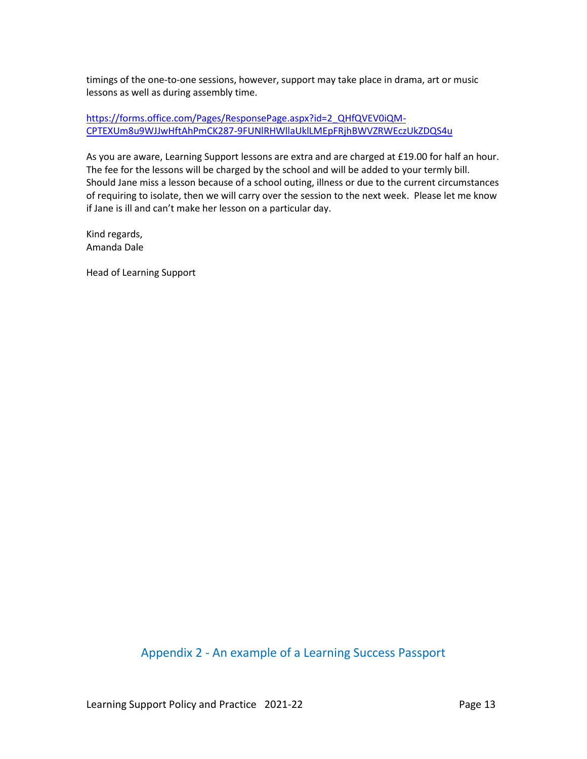timings of the one-to-one sessions, however, support may take place in drama, art or music lessons as well as during assembly time.

[https://forms.office.com/Pages/ResponsePage.aspx?id=2\\_QHfQVEV0iQM-](https://forms.office.com/Pages/ResponsePage.aspx?id=2_QHfQVEV0iQM-CPTEXUm8u9WJJwHftAhPmCK287-9FUNlRHWllaUklLMEpFRjhBWVZRWEczUkZDQS4u)[CPTEXUm8u9WJJwHftAhPmCK287-9FUNlRHWllaUklLMEpFRjhBWVZRWEczUkZDQS4u](https://forms.office.com/Pages/ResponsePage.aspx?id=2_QHfQVEV0iQM-CPTEXUm8u9WJJwHftAhPmCK287-9FUNlRHWllaUklLMEpFRjhBWVZRWEczUkZDQS4u)

As you are aware, Learning Support lessons are extra and are charged at £19.00 for half an hour. The fee for the lessons will be charged by the school and will be added to your termly bill. Should Jane miss a lesson because of a school outing, illness or due to the current circumstances of requiring to isolate, then we will carry over the session to the next week. Please let me know if Jane is ill and can't make her lesson on a particular day.

Kind regards, Amanda Dale

Head of Learning Support

#### Appendix 2 - An example of a Learning Success Passport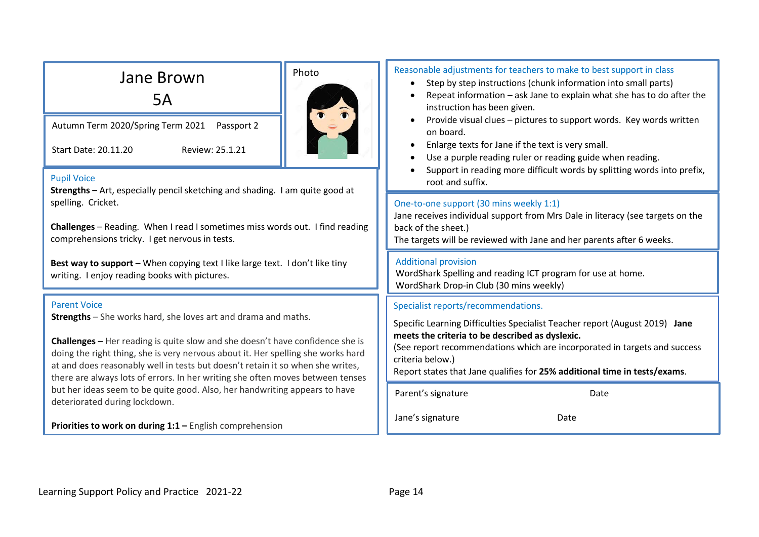| Jane Brown<br>5A                                                                                                                                                                                                                                                                                                                                                                                                      | Photo            | Reasonable adjustments for teachers to make to best support in class<br>Step by step instructions (chunk information into small parts)<br>$\bullet$<br>Repeat information - ask Jane to explain what she has to do after the<br>$\bullet$<br>instruction has been given.                                     |  |
|-----------------------------------------------------------------------------------------------------------------------------------------------------------------------------------------------------------------------------------------------------------------------------------------------------------------------------------------------------------------------------------------------------------------------|------------------|--------------------------------------------------------------------------------------------------------------------------------------------------------------------------------------------------------------------------------------------------------------------------------------------------------------|--|
| Autumn Term 2020/Spring Term 2021<br>Passport 2<br>Review: 25.1.21<br>Start Date: 20.11.20                                                                                                                                                                                                                                                                                                                            |                  | Provide visual clues - pictures to support words. Key words written<br>٠<br>on board.<br>Enlarge texts for Jane if the text is very small.<br>$\bullet$<br>Use a purple reading ruler or reading guide when reading.<br>$\bullet$<br>Support in reading more difficult words by splitting words into prefix, |  |
| <b>Pupil Voice</b><br>Strengths - Art, especially pencil sketching and shading. I am quite good at                                                                                                                                                                                                                                                                                                                    | root and suffix. |                                                                                                                                                                                                                                                                                                              |  |
| spelling. Cricket.<br>Challenges - Reading. When I read I sometimes miss words out. I find reading<br>comprehensions tricky. I get nervous in tests.                                                                                                                                                                                                                                                                  |                  | One-to-one support (30 mins weekly 1:1)<br>Jane receives individual support from Mrs Dale in literacy (see targets on the<br>back of the sheet.)<br>The targets will be reviewed with Jane and her parents after 6 weeks.                                                                                    |  |
| Best way to support - When copying text I like large text. I don't like tiny<br>writing. I enjoy reading books with pictures.                                                                                                                                                                                                                                                                                         |                  | <b>Additional provision</b><br>WordShark Spelling and reading ICT program for use at home.<br>WordShark Drop-in Club (30 mins weekly)                                                                                                                                                                        |  |
| <b>Parent Voice</b>                                                                                                                                                                                                                                                                                                                                                                                                   |                  | Specialist reports/recommendations.                                                                                                                                                                                                                                                                          |  |
| <b>Strengths</b> - She works hard, she loves art and drama and maths.<br><b>Challenges</b> - Her reading is quite slow and she doesn't have confidence she is<br>doing the right thing, she is very nervous about it. Her spelling she works hard<br>at and does reasonably well in tests but doesn't retain it so when she writes,<br>there are always lots of errors. In her writing she often moves between tenses |                  | Specific Learning Difficulties Specialist Teacher report (August 2019) Jane<br>meets the criteria to be described as dyslexic.<br>(See report recommendations which are incorporated in targets and success<br>criteria below.)<br>Report states that Jane qualifies for 25% additional time in tests/exams. |  |
| but her ideas seem to be quite good. Also, her handwriting appears to have                                                                                                                                                                                                                                                                                                                                            |                  | Parent's signature<br>Date                                                                                                                                                                                                                                                                                   |  |
| deteriorated during lockdown.<br>Priorities to work on during 1:1 - English comprehension                                                                                                                                                                                                                                                                                                                             |                  | Jane's signature<br>Date                                                                                                                                                                                                                                                                                     |  |